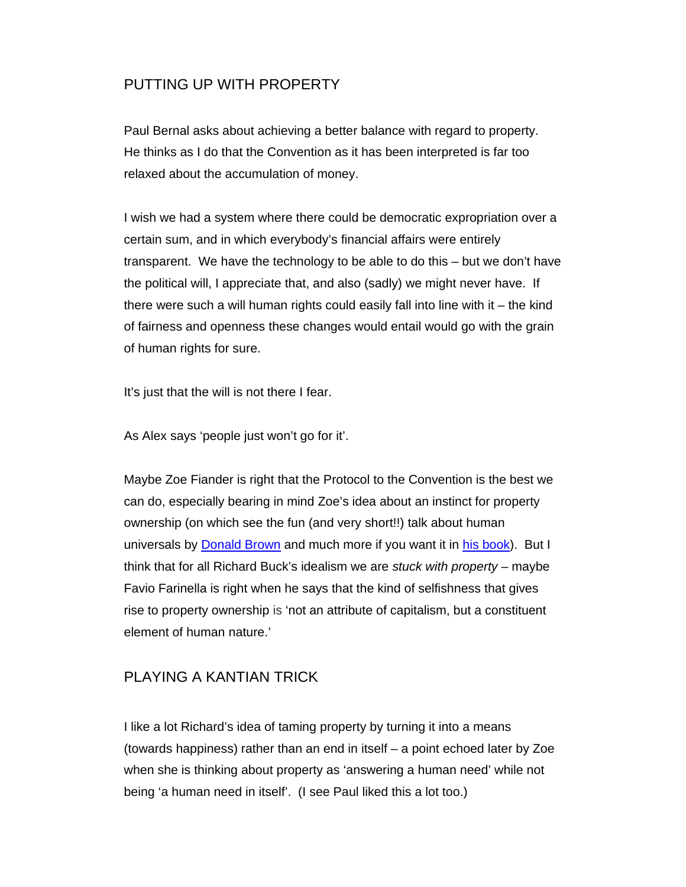### PUTTING UP WITH PROPERTY

Paul Bernal asks about achieving a better balance with regard to property. He thinks as I do that the Convention as it has been interpreted is far too relaxed about the accumulation of money.

I wish we had a system where there could be democratic expropriation over a certain sum, and in which everybody's financial affairs were entirely transparent. We have the technology to be able to do this – but we don't have the political will, I appreciate that, and also (sadly) we might never have. If there were such a will human rights could easily fall into line with it – the kind of fairness and openness these changes would entail would go with the grain of human rights for sure.

It's just that the will is not there I fear.

As Alex says 'people just won't go for it'.

Maybe Zoe Fiander is right that the Protocol to the Convention is the best we can do, especially bearing in mind Zoe's idea about an instinct for property ownership (on which see the fun (and very short!!) talk about human universals by Donald Brown and much more if you want it in his book). But I think that for all Richard Buck's idealism we are *stuck with property* – maybe Favio Farinella is right when he says that the kind of selfishness that gives rise to property ownership is 'not an attribute of capitalism, but a constituent element of human nature.'

#### PLAYING A KANTIAN TRICK

I like a lot Richard's idea of taming property by turning it into a means (towards happiness) rather than an end in itself – a point echoed later by Zoe when she is thinking about property as 'answering a human need' while not being 'a human need in itself'. (I see Paul liked this a lot too.)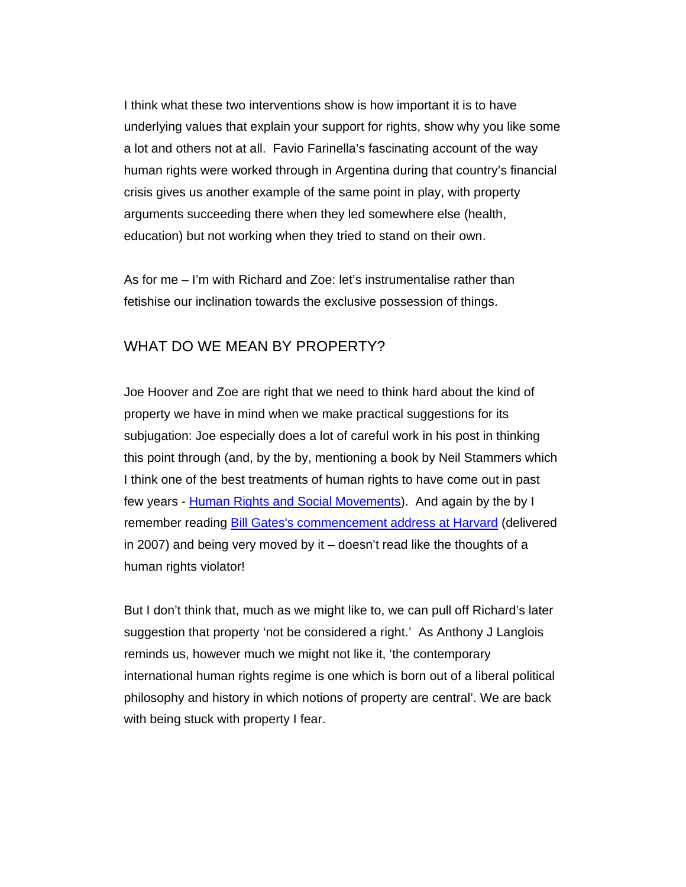I think what these two interventions show is how important it is to have underlying values that explain your support for rights, show why you like some a lot and others not at all. Favio Farinella's fascinating account of the way human rights were worked through in Argentina during that country's financial crisis gives us another example of the same point in play, with property arguments succeeding there when they led somewhere else (health, education) but not working when they tried to stand on their own.

As for me – I'm with Richard and Zoe: let's instrumentalise rather than fetishise our inclination towards the exclusive possession of things.

### WHAT DO WE MEAN BY PROPERTY?

Joe Hoover and Zoe are right that we need to think hard about the kind of property we have in mind when we make practical suggestions for its subjugation: Joe especially does a lot of careful work in his post in thinking this point through (and, by the by, mentioning a book by Neil Stammers which I think one of the best treatments of human rights to have come out in past few years - Human Rights and Social Movements). And again by the by I remember reading Bill Gates's commencement address at Harvard (delivered in 2007) and being very moved by it – doesn't read like the thoughts of a human rights violator!

But I don't think that, much as we might like to, we can pull off Richard's later suggestion that property 'not be considered a right.' As Anthony J Langlois reminds us, however much we might not like it, 'the contemporary international human rights regime is one which is born out of a liberal political philosophy and history in which notions of property are central'. We are back with being stuck with property I fear.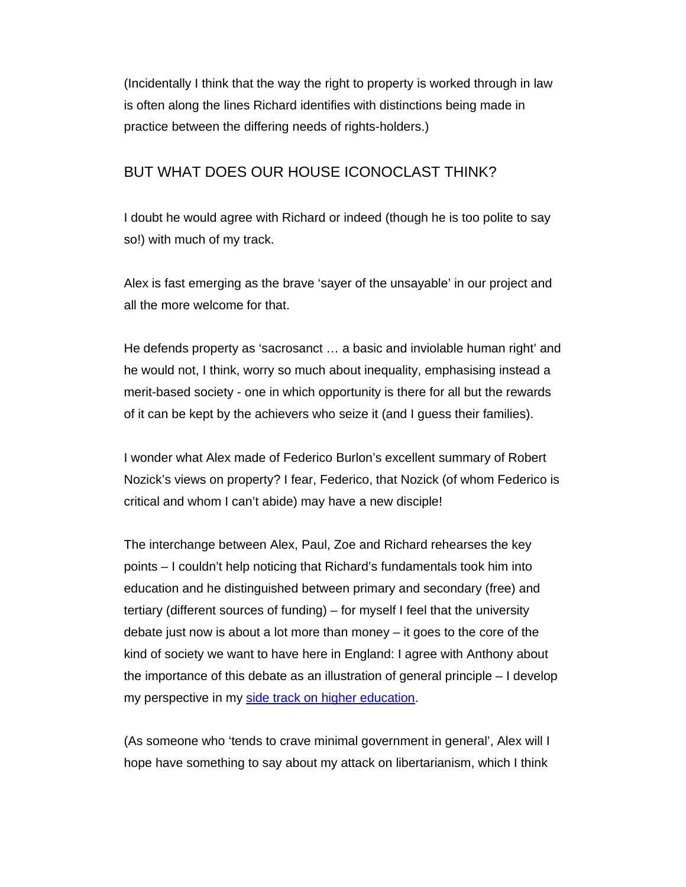(Incidentally I think that the way the right to property is worked through in law is often along the lines Richard identifies with distinctions being made in practice between the differing needs of rights-holders.)

#### BUT WHAT DOES OUR HOUSE ICONOCLAST THINK?

I doubt he would agree with Richard or indeed (though he is too polite to say so!) with much of my track.

Alex is fast emerging as the brave 'sayer of the unsayable' in our project and all the more welcome for that.

He defends property as 'sacrosanct … a basic and inviolable human right' and he would not, I think, worry so much about inequality, emphasising instead a merit-based society - one in which opportunity is there for all but the rewards of it can be kept by the achievers who seize it (and I guess their families).

I wonder what Alex made of Federico Burlon's excellent summary of Robert Nozick's views on property? I fear, Federico, that Nozick (of whom Federico is critical and whom I can't abide) may have a new disciple!

The interchange between Alex, Paul, Zoe and Richard rehearses the key points – I couldn't help noticing that Richard's fundamentals took him into education and he distinguished between primary and secondary (free) and tertiary (different sources of funding) – for myself I feel that the university debate just now is about a lot more than money – it goes to the core of the kind of society we want to have here in England: I agree with Anthony about the importance of this debate as an illustration of general principle – I develop my perspective in my side track on higher education.

(As someone who 'tends to crave minimal government in general', Alex will I hope have something to say about my attack on libertarianism, which I think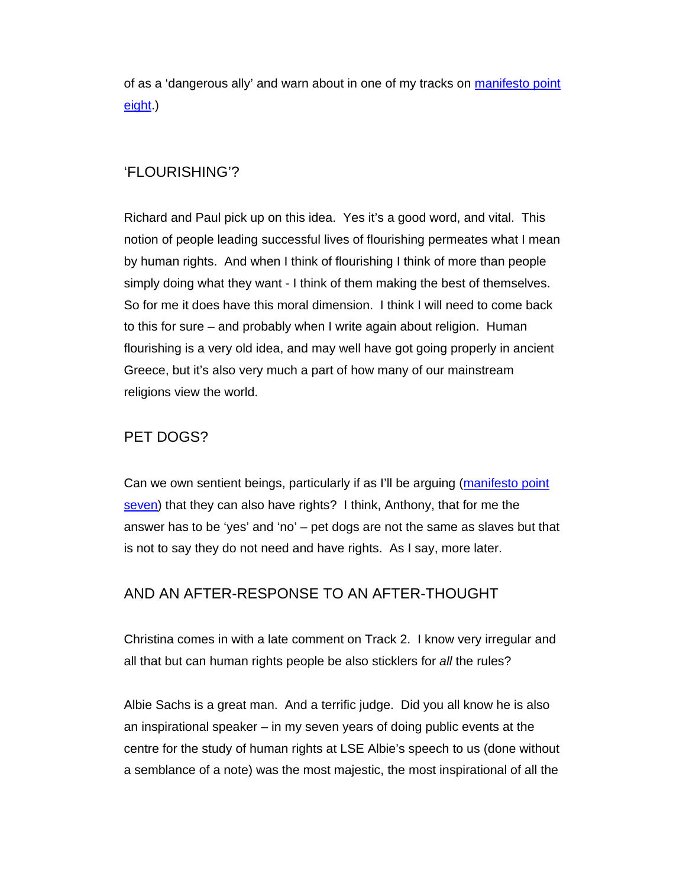of as a 'dangerous ally' and warn about in one of my tracks on manifesto point eight.)

### 'FLOURISHING'?

Richard and Paul pick up on this idea. Yes it's a good word, and vital. This notion of people leading successful lives of flourishing permeates what I mean by human rights. And when I think of flourishing I think of more than people simply doing what they want - I think of them making the best of themselves. So for me it does have this moral dimension. I think I will need to come back to this for sure – and probably when I write again about religion. Human flourishing is a very old idea, and may well have got going properly in ancient Greece, but it's also very much a part of how many of our mainstream religions view the world.

## PET DOGS?

Can we own sentient beings, particularly if as I'll be arguing (manifesto point seven) that they can also have rights? I think, Anthony, that for me the answer has to be 'yes' and 'no' – pet dogs are not the same as slaves but that is not to say they do not need and have rights. As I say, more later.

#### AND AN AFTER-RESPONSE TO AN AFTER-THOUGHT

Christina comes in with a late comment on Track 2. I know very irregular and all that but can human rights people be also sticklers for *all* the rules?

Albie Sachs is a great man. And a terrific judge. Did you all know he is also an inspirational speaker – in my seven years of doing public events at the centre for the study of human rights at LSE Albie's speech to us (done without a semblance of a note) was the most majestic, the most inspirational of all the